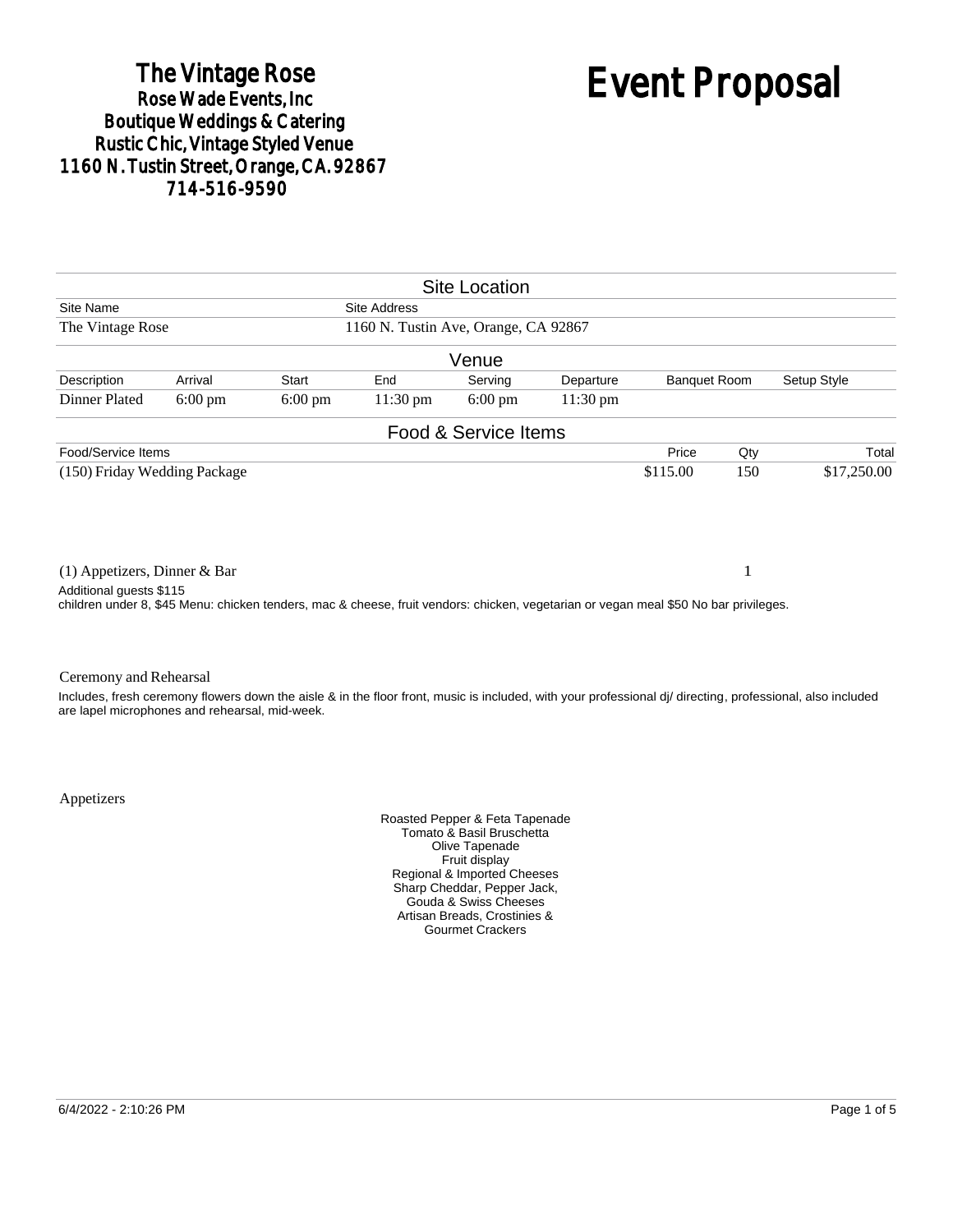# The Vintage Rose<br>Rose Wade Events, Inc. Boutique Weddings & Catering<br>Rustic Chic, Vintage Styled Venue 1160 N. Tustin Street, Orange, CA. 92867 714-516-9590

# Event Proposal

|                                                                                                                                      |                   |                   |                     | <b>Site Location</b> |            |                     |             |                                                                                                                                                            |
|--------------------------------------------------------------------------------------------------------------------------------------|-------------------|-------------------|---------------------|----------------------|------------|---------------------|-------------|------------------------------------------------------------------------------------------------------------------------------------------------------------|
| Site Name                                                                                                                            |                   |                   | <b>Site Address</b> |                      |            |                     |             |                                                                                                                                                            |
| 1160 N. Tustin Ave, Orange, CA 92867<br>The Vintage Rose                                                                             |                   |                   |                     |                      |            |                     |             |                                                                                                                                                            |
|                                                                                                                                      |                   |                   |                     | Venue                |            |                     |             |                                                                                                                                                            |
| Description                                                                                                                          | Arrival           | Start             | End                 | Serving              | Departure  | <b>Banquet Room</b> |             | Setup Style                                                                                                                                                |
| Dinner Plated                                                                                                                        | $6:00 \text{ pm}$ | $6:00 \text{ pm}$ | $11:30 \text{ pm}$  | $6:00 \text{ pm}$    | $11:30$ pm |                     |             |                                                                                                                                                            |
|                                                                                                                                      |                   |                   |                     | Food & Service Items |            |                     |             |                                                                                                                                                            |
| Food/Service Items                                                                                                                   |                   |                   |                     |                      |            | Price               | Qty         | Total                                                                                                                                                      |
| (150) Friday Wedding Package                                                                                                         |                   |                   |                     |                      | \$115.00   | 150                 | \$17,250.00 |                                                                                                                                                            |
|                                                                                                                                      |                   |                   |                     |                      |            |                     |             |                                                                                                                                                            |
| $(1)$ Appetizers, Dinner & Bar                                                                                                       |                   |                   |                     |                      |            |                     | 1           |                                                                                                                                                            |
| Additional guests \$115                                                                                                              |                   |                   |                     |                      |            |                     |             |                                                                                                                                                            |
| children under 8, \$45 Menu: chicken tenders, mac & cheese, fruit vendors: chicken, vegetarian or vegan meal \$50 No bar privileges. |                   |                   |                     |                      |            |                     |             |                                                                                                                                                            |
|                                                                                                                                      |                   |                   |                     |                      |            |                     |             |                                                                                                                                                            |
| Ceremony and Rehearsal                                                                                                               |                   |                   |                     |                      |            |                     |             |                                                                                                                                                            |
| are lapel microphones and rehearsal, mid-week.                                                                                       |                   |                   |                     |                      |            |                     |             | Includes, fresh ceremony flowers down the aisle & in the floor front, music is included, with your professional di/ directing, professional, also included |

Appetizers

Roasted Pepper & Feta Tapenade Tomato & Basil Bruschetta Olive Tapenade Fruit display Regional & Imported Cheeses Sharp Cheddar, Pepper Jack, Gouda & Swiss Cheeses Artisan Breads, Crostinies & Gourmet Crackers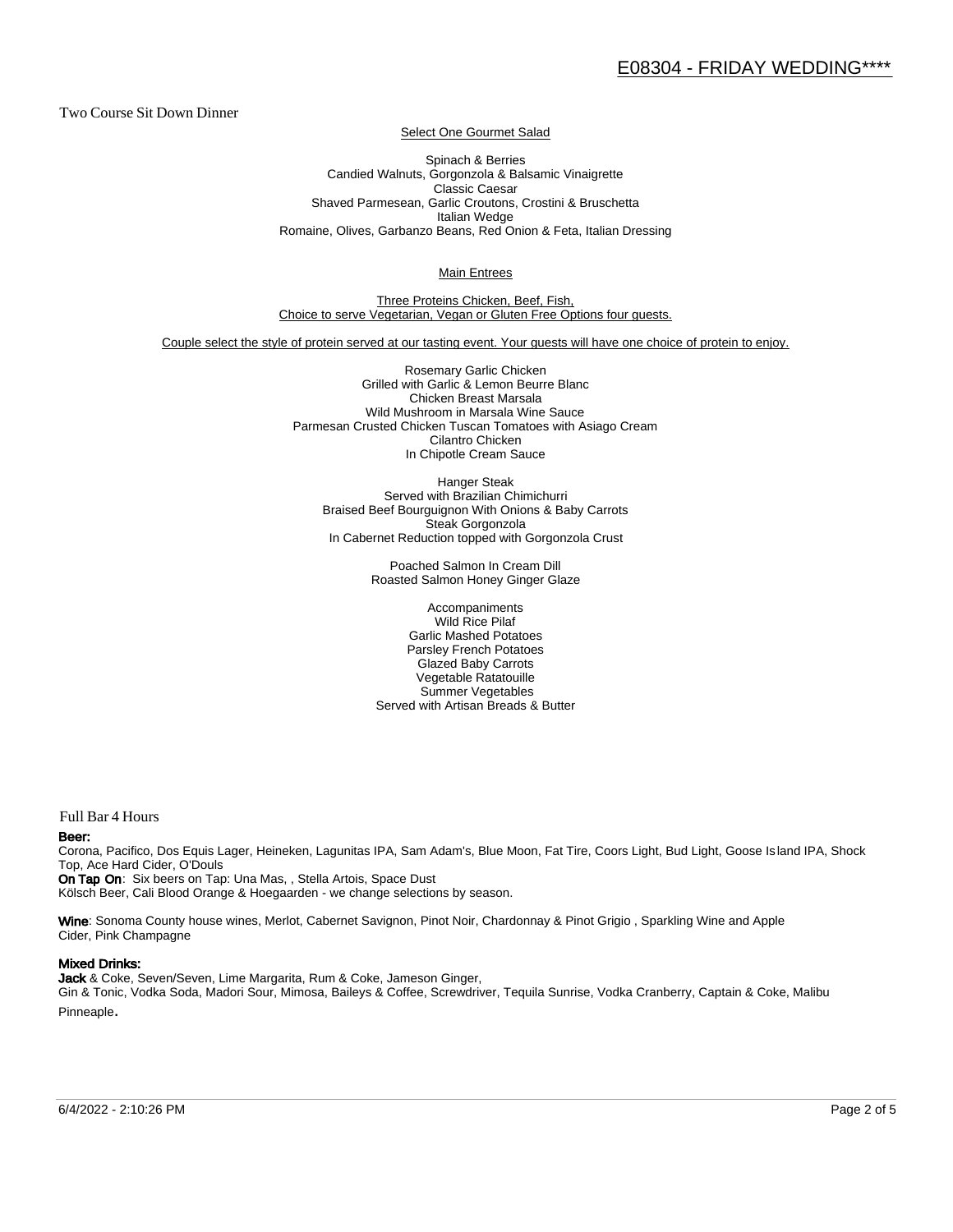Two Course Sit Down Dinner

Select One Gourmet Salad

Spinach & Berries Candied Walnuts, Gorgonzola & Balsamic Vinaigrette Classic Caesar Shaved Parmesean, Garlic Croutons, Crostini & Bruschetta Italian Wedge Romaine, Olives, Garbanzo Beans, Red Onion & Feta, Italian Dressing

Main Entrees

Three Proteins Chicken, Beef, Fish, Choice to serve Vegetarian, Vegan or Gluten Free Options four guests.

Couple select the style of protein served at our tasting event. Your guests will have one choice of protein to enjoy.

Rosemary Garlic Chicken Grilled with Garlic & Lemon Beurre Blanc Chicken Breast Marsala Wild Mushroom in Marsala Wine Sauce Parmesan Crusted Chicken Tuscan Tomatoes with Asiago Cream Cilantro Chicken In Chipotle Cream Sauce

Hanger Steak Served with Brazilian Chimichurri Braised Beef Bourguignon With Onions & Baby Carrots Steak Gorgonzola In Cabernet Reduction topped with Gorgonzola Crust

> Poached Salmon In Cream Dill Roasted Salmon Honey Ginger Glaze

Accompaniments Wild Rice Pilaf Garlic Mashed Potatoes Parsley French Potatoes Glazed Baby Carrots Vegetable Ratatouille Summer Vegetables Served with Artisan Breads & Butter

Full Bar 4 Hours

#### Beer:

Corona, Pacifico, Dos Equis Lager, Heineken, Lagunitas IPA, Sam Adam's, Blue Moon, Fat Tire, Coors Light, Bud Light, Goose Is land IPA, Shock Top, Ace Hard Cider, O'Douls

On Tap On: Six beers on Tap: Una Mas, , Stella Artois, Space Dust Kölsch Beer, Cali Blood Orange & Hoegaarden - we change selections by season.

Wine: Sonoma County house wines, Merlot, Cabernet Savignon, Pinot Noir, Chardonnay & Pinot Grigio, Sparkling Wine and Apple Cider, Pink Champagne

#### Mixed Drinks:

Jack & Coke, Seven/Seven, Lime Margarita, Rum & Coke, Jameson Ginger, Gin & Tonic, Vodka Soda, Madori Sour, Mimosa, Baileys & Coffee, Screwdriver, Tequila Sunrise, Vodka Cranberry, Captain & Coke, Malibu Pinneaple.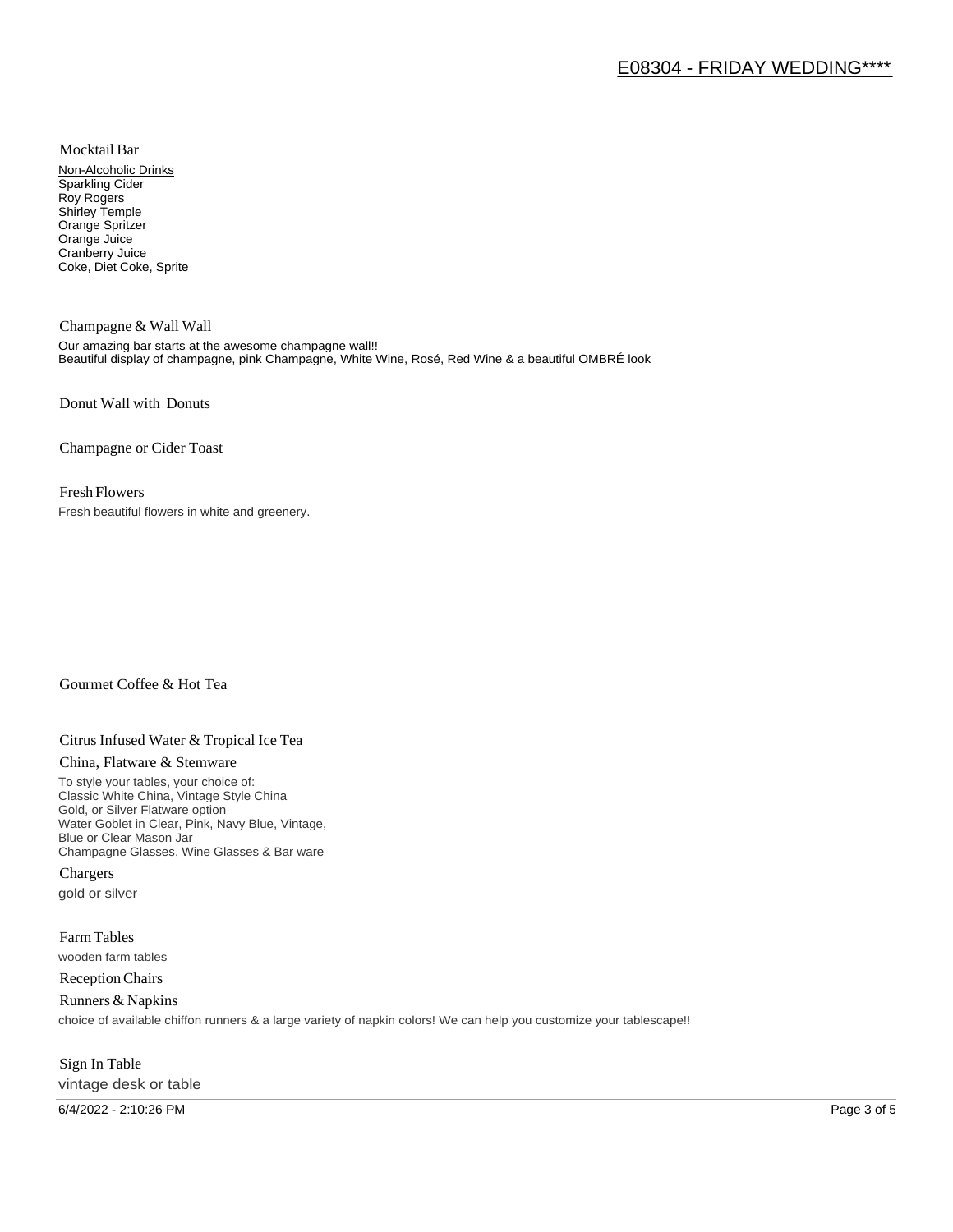Mocktail Bar

Non-Alcoholic Drinks Sparkling Cider Roy Rogers Shirley Temple Orange Spritzer Orange Juice Cranberry Juice Coke, Diet Coke, Sprite

Champagne & Wall Wall Our amazing bar starts at the awesome champagne wall!! Beautiful display of champagne, pink Champagne, White Wine, Rosé, Red Wine & a beautiful OMBRÉ look

Donut Wall with Donuts

Champagne or Cider Toast

### Fresh Flowers

Fresh beautiful flowers in white and greenery.

# Gourmet Coffee & Hot Tea

# Citrus Infused Water & Tropical Ice Tea

#### China, Flatware & Stemware

To style your tables, your choice of: Classic White China, Vintage Style China Gold, or Silver Flatware option Water Goblet in Clear, Pink, Navy Blue, Vintage, Blue or Clear Mason Jar Champagne Glasses, Wine Glasses & Bar ware

Chargers gold or silver

Farm Tables wooden farm tables

Reception Chairs

Runners & Napkins choice of available chiffon runners & a large variety of napkin colors! We can help you customize your tablescape!!

# Sign In Table vintage desk or table

6/4/2022 - 2:10:26 PM Page 3 of 5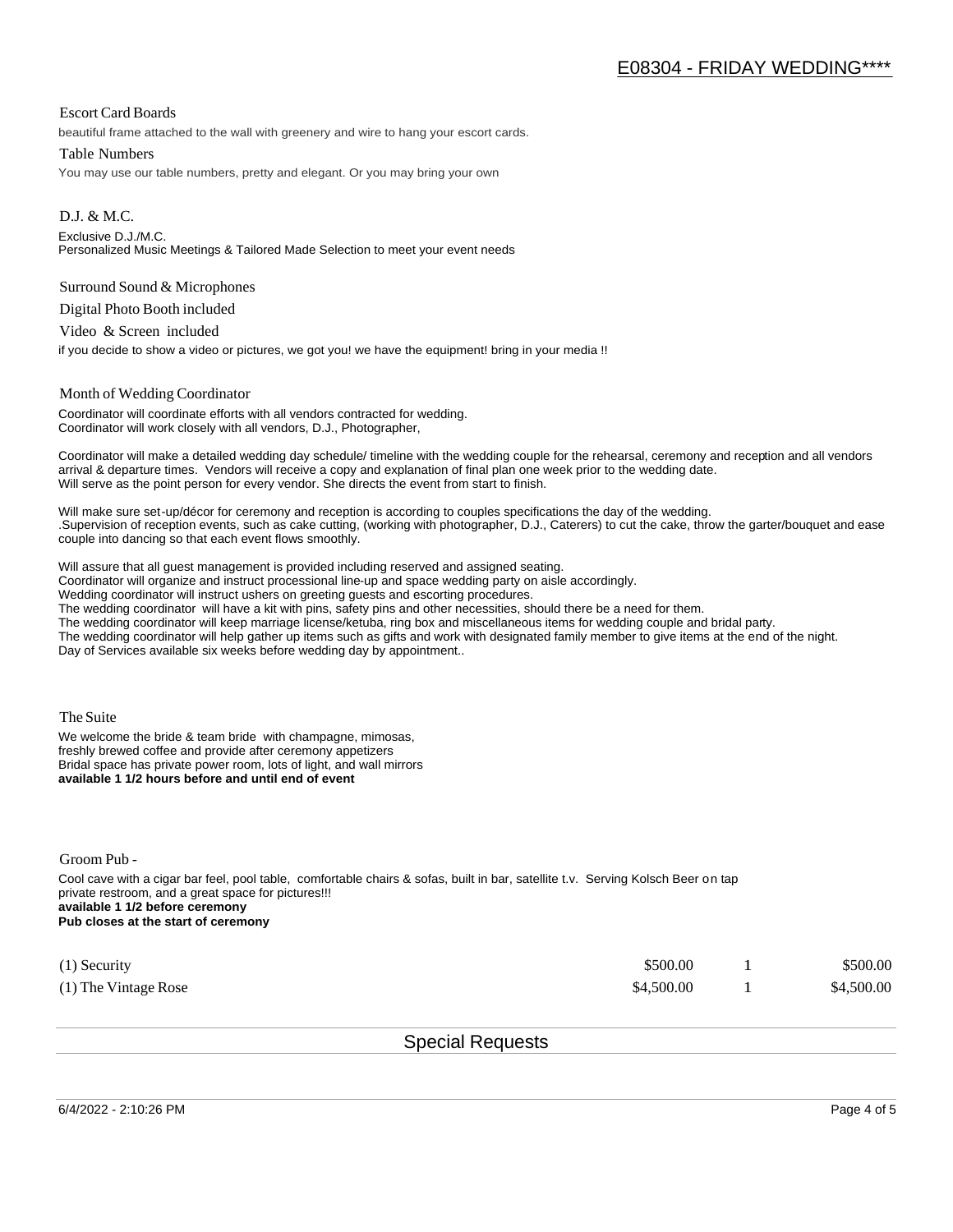## Escort Card Boards

beautiful frame attached to the wall with greenery and wire to hang your escort cards.

#### Table Numbers

You may use our table numbers, pretty and elegant. Or you may bring your own

D.J. & M.C. Exclusive D.J./M.C. Personalized Music Meetings & Tailored Made Selection to meet your event needs

#### Surround Sound & Microphones

Digital Photo Booth included

Video & Screen included

if you decide to show a video or pictures, we got you! we have the equipment! bring in your media !!

#### Month of Wedding Coordinator

Coordinator will coordinate efforts with all vendors contracted for wedding. Coordinator will work closely with all vendors, D.J., Photographer,

Coordinator will make a detailed wedding day schedule/ timeline with the wedding couple for the rehearsal, ceremony and reception and all vendors arrival & departure times. Vendors will receive a copy and explanation of final plan one week prior to the wedding date. Will serve as the point person for every vendor. She directs the event from start to finish.

Will make sure set-up/décor for ceremony and reception is according to couples specifications the day of the wedding. .Supervision of reception events, such as cake cutting, (working with photographer, D.J., Caterers) to cut the cake, throw the garter/bouquet and ease couple into dancing so that each event flows smoothly.

Will assure that all guest management is provided including reserved and assigned seating.

Coordinator will organize and instruct processional line-up and space wedding party on aisle accordingly.

Wedding coordinator will instruct ushers on greeting guests and escorting procedures.

The wedding coordinator will have a kit with pins, safety pins and other necessities, should there be a need for them.

The wedding coordinator will keep marriage license/ketuba, ring box and miscellaneous items for wedding couple and bridal party.

The wedding coordinator will help gather up items such as gifts and work with designated family member to give items at the end of the night. Day of Services available six weeks before wedding day by appointment..

The Suite

We welcome the bride & team bride with champagne, mimosas, freshly brewed coffee and provide after ceremony appetizers Bridal space has private power room, lots of light, and wall mirrors **available 1 1/2 hours before and until end of event** 

Groom Pub -

Cool cave with a cigar bar feel, pool table, comfortable chairs & sofas, built in bar, satellite t.v. Serving Kolsch Beer on tap private restroom, and a great space for pictures!!! **available 1 1/2 before ceremony Pub closes at the start of ceremony**

| $(1)$ Security       | \$500.00   | \$500.00   |
|----------------------|------------|------------|
| (1) The Vintage Rose | \$4,500.00 | \$4,500.00 |

Special Requests